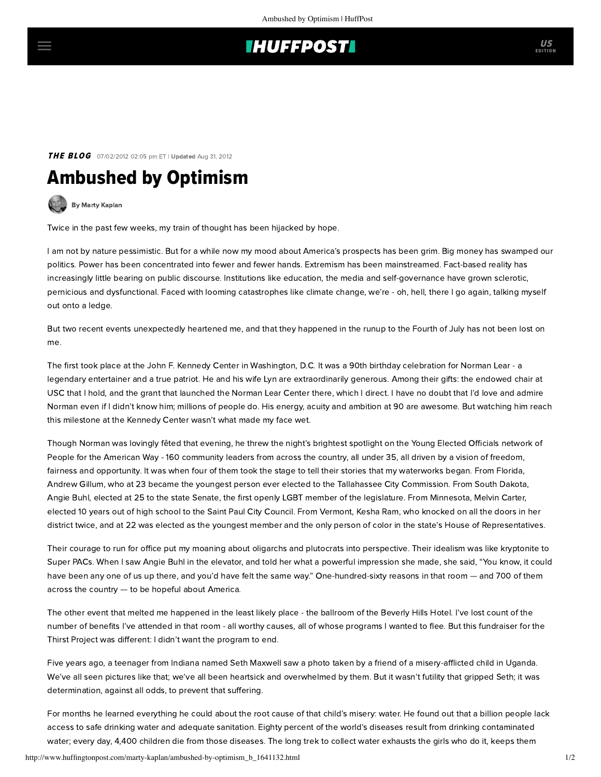## **IHUFFPOSTI**

### **THE BLOG** 07/02/2012 02:05 pm ET | Updated Aug 31, 2012

# Ambushed by Optimism



Twice in the past few weeks, my train of thought has been hijacked by hope.

I am not by nature pessimistic. But for a while now my mood about America's prospects has been grim. Big money has swamped our politics. Power has been concentrated into fewer and fewer hands. Extremism has been mainstreamed. Fact-based reality has increasingly little bearing on public discourse. Institutions like education, the media and self-governance have grown sclerotic, pernicious and dysfunctional. Faced with looming catastrophes like climate change, we're - oh, hell, there I go again, talking myself out onto a ledge.

But two recent events unexpectedly heartened me, and that they happened in the runup to the Fourth of July has not been lost on me.

The first took place at the John F. Kennedy Center in Washington, D.C. It was a 90th birthday celebration for [Norman Lear](http://www.normanlear.com/) - a legendary entertainer and a true patriot. He and his wife Lyn are extraordinarily generous. Among their gifts: the endowed chair at USC that I hold, and the grant that launched the [Norman Lear Center](http://www.learcenter.org/) there, which I direct. I have no doubt that I'd love and admire Norman even if I didn't know him; millions of people do. His energy, acuity and ambition at 90 are awesome. But watching him reach this milestone at the Kennedy Center wasn't what made my face wet.

Though Norman was lovingly fêted that evening, he threw the night's brightest spotlight on the [Young Elected Officials](http://www.yeonetwork.org/) network of [People for the American Way](http://www.pfaw.org/) - 160 community leaders from across the country, all under 35, all driven by a vision of freedom, fairness and opportunity. It was when four of them took the stage to tell their stories that my waterworks began. From Florida, Andrew Gillum, who at 23 became the youngest person ever elected to the Tallahassee City Commission. From South Dakota, Angie Buhl, elected at 25 to the state Senate, the first openly LGBT member of the legislature. From Minnesota, Melvin Carter, elected 10 years out of high school to the Saint Paul City Council. From Vermont, Kesha Ram, who knocked on all the doors in her district twice, and at 22 was elected as the youngest member and the only person of color in the state's House of Representatives.

Their courage to run for office put my moaning about oligarchs and plutocrats into perspective. Their idealism was like kryptonite to Super PACs. When I saw Angie Buhl in the elevator, and told her what a powerful impression she made, she said, "You know, it could have been any one of us up there, and you'd have felt the same way." One-hundred-sixty reasons in that room — and 700 of them across the country — to be hopeful about America.

The other event that melted me happened in the least likely place - the ballroom of the Beverly Hills Hotel. I've lost count of the number of benefits I've attended in that room - all worthy causes, all of whose programs I wanted to flee. But this fundraiser for the Thirst Project was different: I didn't want the program to end.

Five years ago, a teenager from Indiana named [Seth Maxwell](https://www.facebook.com/seth.maxwell) saw a photo taken by a friend of a misery-afflicted child in Uganda. We've all seen pictures like that; we've all been heartsick and overwhelmed by them. But it wasn't futility that gripped Seth; it was determination, against all odds, to prevent that suffering.

For months he learned everything he could about the root cause of that child's misery: water. He found out that a billion people lack access to safe drinking water and adequate sanitation. Eighty percent of the world's diseases result from drinking contaminated water; every day, 4,400 children die from those diseases. The long trek to collect water exhausts the girls who do it, keeps them